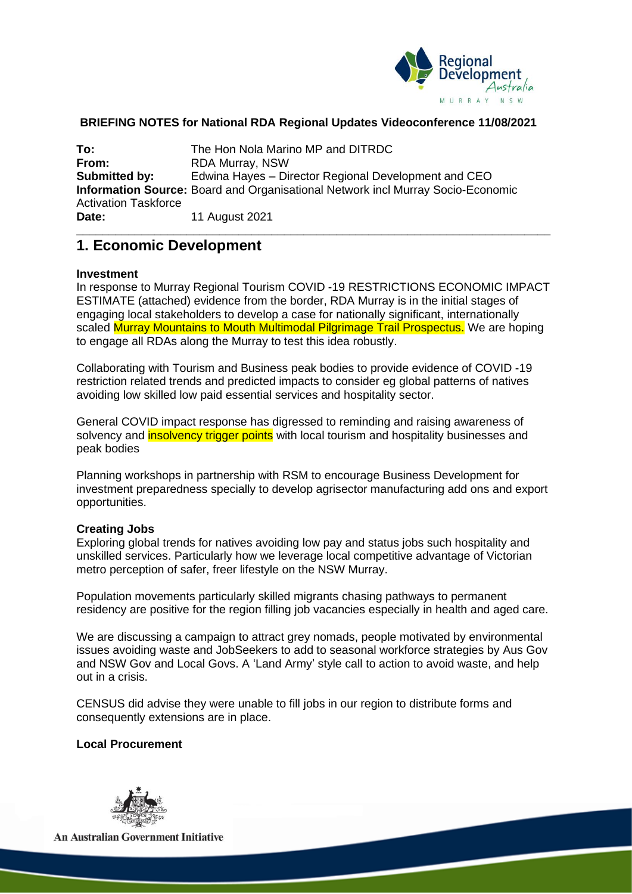

### **BRIEFING NOTES for National RDA Regional Updates Videoconference 11/08/2021**

**To:** The Hon Nola Marino MP and DITRDC<br> **From:** RDA Murray, NSW **From:** RDA Murray, NSW **Submitted by:** Edwina Hayes – Director Regional Development and CEO **Information Source:** Board and Organisational Network incl Murray Socio-Economic Activation Taskforce **Date:** 11 August 2021

## **1. Economic Development**

#### **Investment**

In response to Murray Regional Tourism COVID -19 RESTRICTIONS ECONOMIC IMPACT ESTIMATE (attached) evidence from the border, RDA Murray is in the initial stages of engaging local stakeholders to develop a case for nationally significant, internationally scaled Murray Mountains to Mouth Multimodal Pilgrimage Trail Prospectus. We are hoping to engage all RDAs along the Murray to test this idea robustly.

**\_\_\_\_\_\_\_\_\_\_\_\_\_\_\_\_\_\_\_\_\_\_\_\_\_\_\_\_\_\_\_\_\_\_\_\_\_\_\_\_\_\_\_\_\_\_\_\_\_\_\_\_\_\_\_\_\_\_\_\_\_\_\_\_\_\_\_\_\_\_\_\_\_**

Collaborating with Tourism and Business peak bodies to provide evidence of COVID -19 restriction related trends and predicted impacts to consider eg global patterns of natives avoiding low skilled low paid essential services and hospitality sector.

General COVID impact response has digressed to reminding and raising awareness of solvency and **insolvency trigger points** with local tourism and hospitality businesses and peak bodies

Planning workshops in partnership with RSM to encourage Business Development for investment preparedness specially to develop agrisector manufacturing add ons and export opportunities.

### **Creating Jobs**

Exploring global trends for natives avoiding low pay and status jobs such hospitality and unskilled services. Particularly how we leverage local competitive advantage of Victorian metro perception of safer, freer lifestyle on the NSW Murray.

Population movements particularly skilled migrants chasing pathways to permanent residency are positive for the region filling job vacancies especially in health and aged care.

We are discussing a campaign to attract grey nomads, people motivated by environmental issues avoiding waste and JobSeekers to add to seasonal workforce strategies by Aus Gov and NSW Gov and Local Govs. A 'Land Army' style call to action to avoid waste, and help out in a crisis.

CENSUS did advise they were unable to fill jobs in our region to distribute forms and consequently extensions are in place.

#### **Local Procurement**



**An Australian Government Initiative**